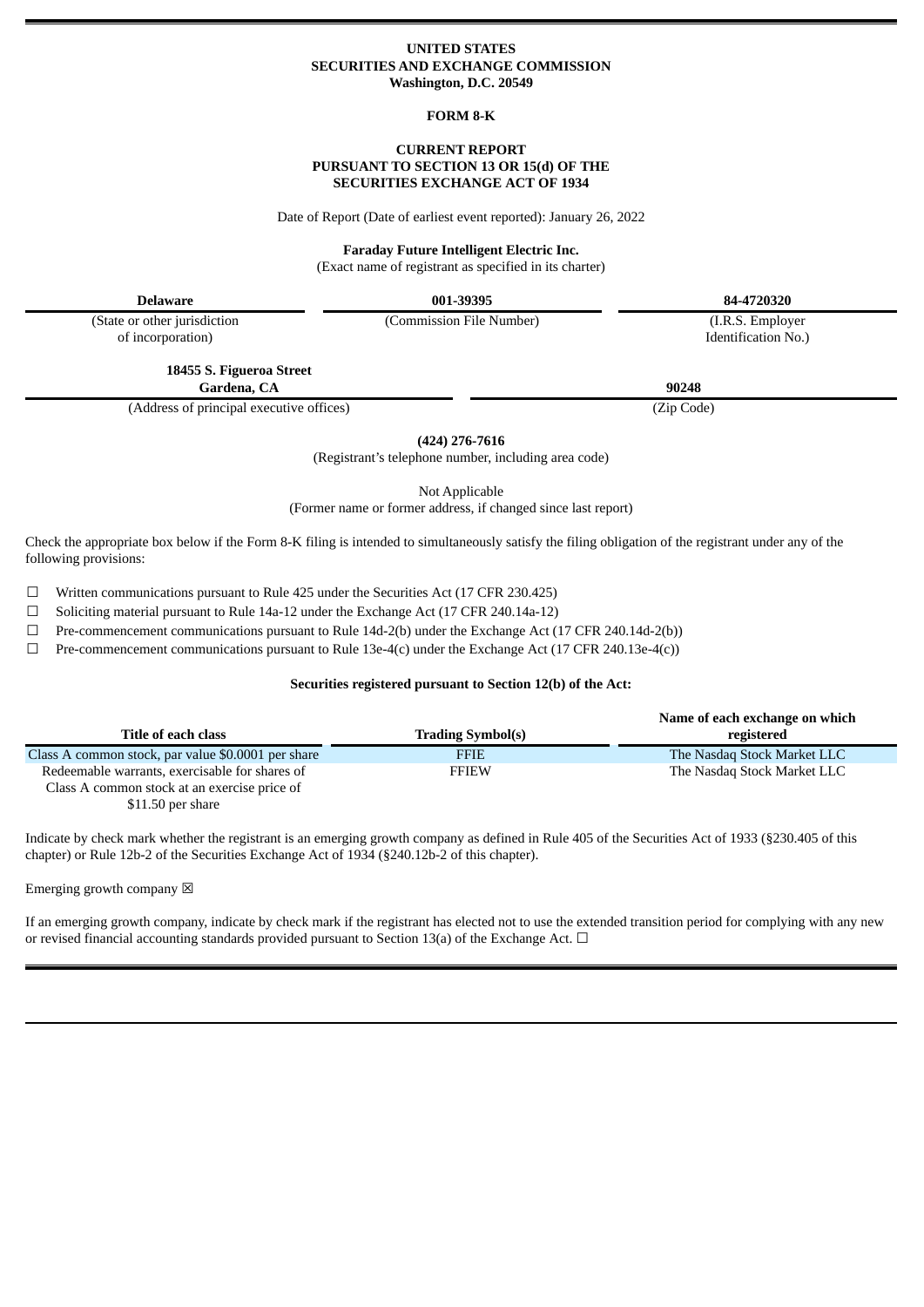## **UNITED STATES SECURITIES AND EXCHANGE COMMISSION Washington, D.C. 20549**

#### **FORM 8-K**

## **CURRENT REPORT PURSUANT TO SECTION 13 OR 15(d) OF THE SECURITIES EXCHANGE ACT OF 1934**

Date of Report (Date of earliest event reported): January 26, 2022

# **Faraday Future Intelligent Electric Inc.**

(Exact name of registrant as specified in its charter)

**Delaware 001-39395 84-4720320**

(Commission File Number) (I.R.S. Employer Identification No.)

**18455 S. Figueroa Street Gardena, CA 90248**

(State or other jurisdiction of incorporation)

(Address of principal executive offices) (Zip Code)

**(424) 276-7616**

(Registrant's telephone number, including area code)

Not Applicable

(Former name or former address, if changed since last report)

Check the appropriate box below if the Form 8-K filing is intended to simultaneously satisfy the filing obligation of the registrant under any of the following provisions:

☐ Written communications pursuant to Rule 425 under the Securities Act (17 CFR 230.425)

☐ Soliciting material pursuant to Rule 14a-12 under the Exchange Act (17 CFR 240.14a-12)

☐ Pre-commencement communications pursuant to Rule 14d-2(b) under the Exchange Act (17 CFR 240.14d-2(b))

 $\Box$  Pre-commencement communications pursuant to Rule 13e-4(c) under the Exchange Act (17 CFR 240.13e-4(c))

## **Securities registered pursuant to Section 12(b) of the Act:**

| <b>Title of each class</b>                         | <b>Trading Symbol(s)</b> | Name of each exchange on which<br>registered |
|----------------------------------------------------|--------------------------|----------------------------------------------|
| Class A common stock, par value \$0.0001 per share | FFIB                     | The Nasdag Stock Market LLC                  |
| Redeemable warrants, exercisable for shares of     | <b>FFIEW</b>             | The Nasdag Stock Market LLC                  |
| Class A common stock at an exercise price of       |                          |                                              |
| $$11.50$ per share                                 |                          |                                              |

Indicate by check mark whether the registrant is an emerging growth company as defined in Rule 405 of the Securities Act of 1933 (§230.405 of this chapter) or Rule 12b-2 of the Securities Exchange Act of 1934 (§240.12b-2 of this chapter).

Emerging growth company  $\boxtimes$ 

If an emerging growth company, indicate by check mark if the registrant has elected not to use the extended transition period for complying with any new or revised financial accounting standards provided pursuant to Section 13(a) of the Exchange Act.  $\Box$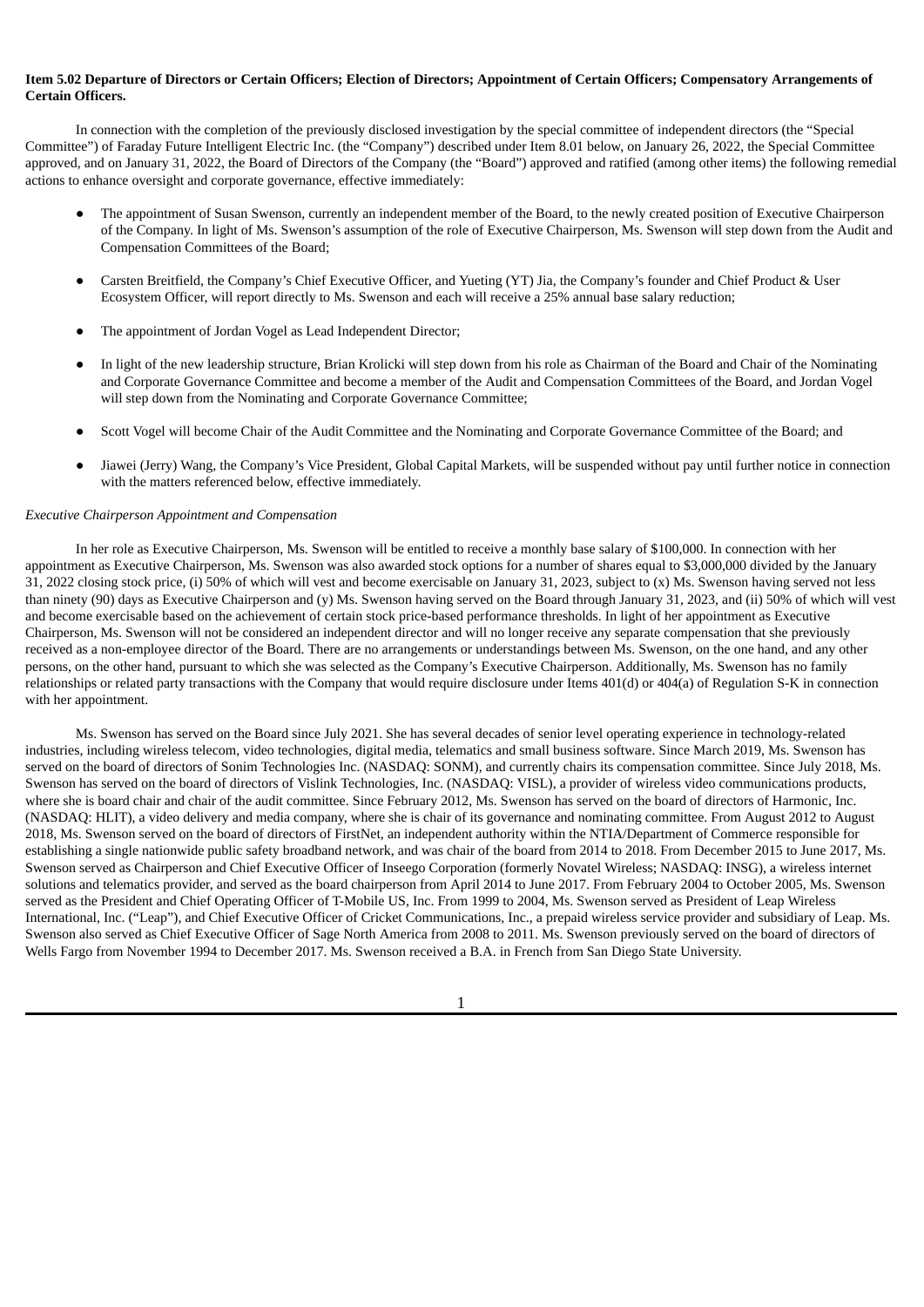# Item 5.02 Departure of Directors or Certain Officers: Election of Directors: Appointment of Certain Officers: Compensatory Arrangements of **Certain Officers.**

In connection with the completion of the previously disclosed investigation by the special committee of independent directors (the "Special Committee") of Faraday Future Intelligent Electric Inc. (the "Company") described under Item 8.01 below, on January 26, 2022, the Special Committee approved, and on January 31, 2022, the Board of Directors of the Company (the "Board") approved and ratified (among other items) the following remedial actions to enhance oversight and corporate governance, effective immediately:

- The appointment of Susan Swenson, currently an independent member of the Board, to the newly created position of Executive Chairperson of the Company. In light of Ms. Swenson's assumption of the role of Executive Chairperson, Ms. Swenson will step down from the Audit and Compensation Committees of the Board;
- Carsten Breitfield, the Company's Chief Executive Officer, and Yueting (YT) Jia, the Company's founder and Chief Product & User Ecosystem Officer, will report directly to Ms. Swenson and each will receive a 25% annual base salary reduction;
- The appointment of Jordan Vogel as Lead Independent Director;
- In light of the new leadership structure, Brian Krolicki will step down from his role as Chairman of the Board and Chair of the Nominating and Corporate Governance Committee and become a member of the Audit and Compensation Committees of the Board, and Jordan Vogel will step down from the Nominating and Corporate Governance Committee;
- Scott Vogel will become Chair of the Audit Committee and the Nominating and Corporate Governance Committee of the Board; and
- Jiawei (Jerry) Wang, the Company's Vice President, Global Capital Markets, will be suspended without pay until further notice in connection with the matters referenced below, effective immediately.

# *Executive Chairperson Appointment and Compensation*

In her role as Executive Chairperson, Ms. Swenson will be entitled to receive a monthly base salary of \$100,000. In connection with her appointment as Executive Chairperson, Ms. Swenson was also awarded stock options for a number of shares equal to \$3,000,000 divided by the January 31, 2022 closing stock price, (i) 50% of which will vest and become exercisable on January 31, 2023, subject to (x) Ms. Swenson having served not less than ninety (90) days as Executive Chairperson and (y) Ms. Swenson having served on the Board through January 31, 2023, and (ii) 50% of which will vest and become exercisable based on the achievement of certain stock price-based performance thresholds. In light of her appointment as Executive Chairperson, Ms. Swenson will not be considered an independent director and will no longer receive any separate compensation that she previously received as a non-employee director of the Board. There are no arrangements or understandings between Ms. Swenson, on the one hand, and any other persons, on the other hand, pursuant to which she was selected as the Company's Executive Chairperson. Additionally, Ms. Swenson has no family relationships or related party transactions with the Company that would require disclosure under Items 401(d) or 404(a) of Regulation S-K in connection with her appointment.

Ms. Swenson has served on the Board since July 2021. She has several decades of senior level operating experience in technology-related industries, including wireless telecom, video technologies, digital media, telematics and small business software. Since March 2019, Ms. Swenson has served on the board of directors of Sonim Technologies Inc. (NASDAQ: SONM), and currently chairs its compensation committee. Since July 2018, Ms. Swenson has served on the board of directors of Vislink Technologies, Inc. (NASDAQ: VISL), a provider of wireless video communications products, where she is board chair and chair of the audit committee. Since February 2012, Ms. Swenson has served on the board of directors of Harmonic, Inc. (NASDAQ: HLIT), a video delivery and media company, where she is chair of its governance and nominating committee. From August 2012 to August 2018, Ms. Swenson served on the board of directors of FirstNet, an independent authority within the NTIA/Department of Commerce responsible for establishing a single nationwide public safety broadband network, and was chair of the board from 2014 to 2018. From December 2015 to June 2017, Ms. Swenson served as Chairperson and Chief Executive Officer of Inseego Corporation (formerly Novatel Wireless; NASDAQ: INSG), a wireless internet solutions and telematics provider, and served as the board chairperson from April 2014 to June 2017. From February 2004 to October 2005, Ms. Swenson served as the President and Chief Operating Officer of T-Mobile US, Inc. From 1999 to 2004, Ms. Swenson served as President of Leap Wireless International, Inc. ("Leap"), and Chief Executive Officer of Cricket Communications, Inc., a prepaid wireless service provider and subsidiary of Leap. Ms. Swenson also served as Chief Executive Officer of Sage North America from 2008 to 2011. Ms. Swenson previously served on the board of directors of Wells Fargo from November 1994 to December 2017. Ms. Swenson received a B.A. in French from San Diego State University.

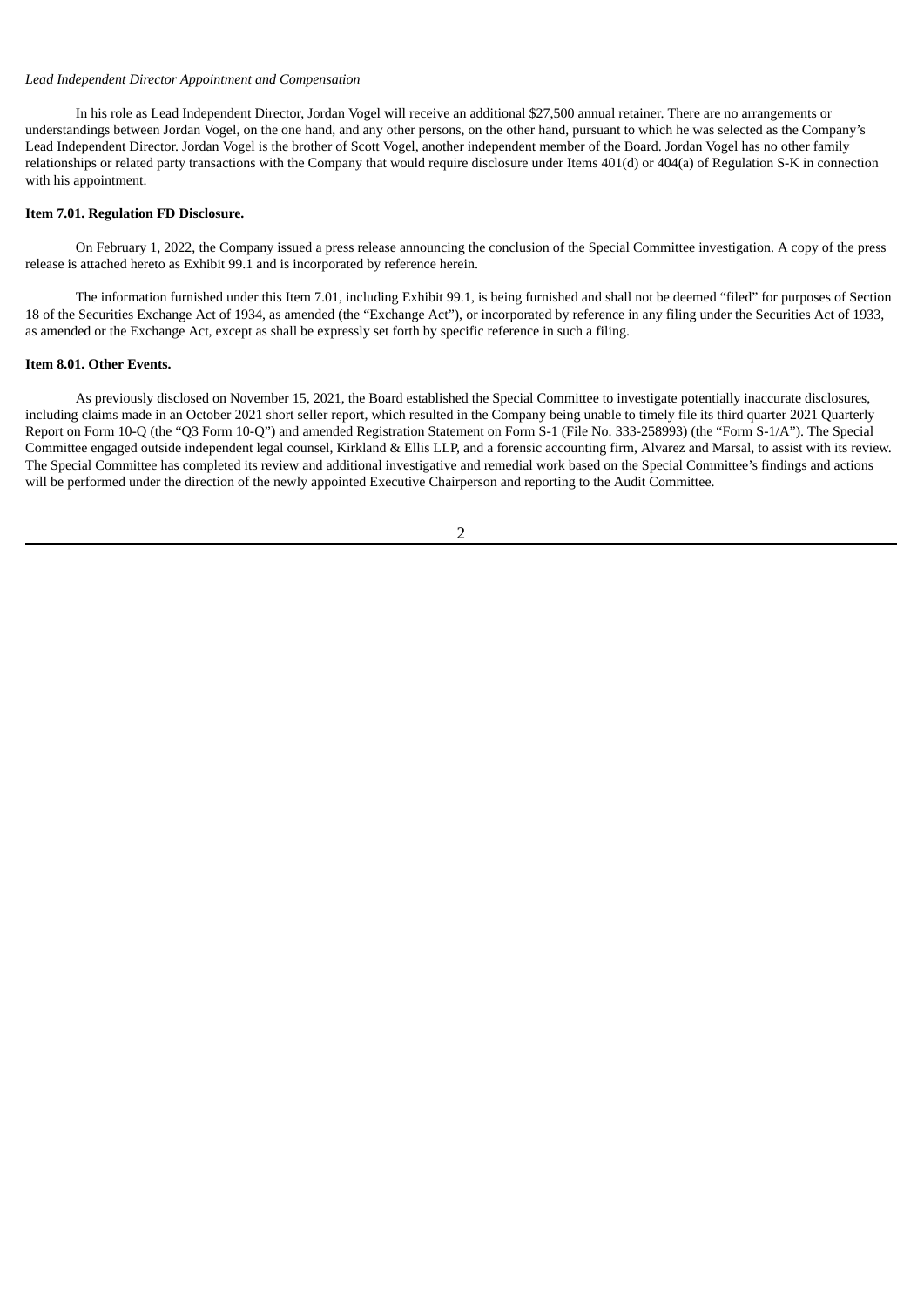#### *Lead Independent Director Appointment and Compensation*

In his role as Lead Independent Director, Jordan Vogel will receive an additional \$27,500 annual retainer. There are no arrangements or understandings between Jordan Vogel, on the one hand, and any other persons, on the other hand, pursuant to which he was selected as the Company's Lead Independent Director. Jordan Vogel is the brother of Scott Vogel, another independent member of the Board. Jordan Vogel has no other family relationships or related party transactions with the Company that would require disclosure under Items 401(d) or 404(a) of Regulation S-K in connection with his appointment.

#### **Item 7.01. Regulation FD Disclosure.**

On February 1, 2022, the Company issued a press release announcing the conclusion of the Special Committee investigation. A copy of the press release is attached hereto as Exhibit 99.1 and is incorporated by reference herein.

The information furnished under this Item 7.01, including Exhibit 99.1, is being furnished and shall not be deemed "filed" for purposes of Section 18 of the Securities Exchange Act of 1934, as amended (the "Exchange Act"), or incorporated by reference in any filing under the Securities Act of 1933, as amended or the Exchange Act, except as shall be expressly set forth by specific reference in such a filing.

#### **Item 8.01. Other Events.**

As previously disclosed on November 15, 2021, the Board established the Special Committee to investigate potentially inaccurate disclosures, including claims made in an October 2021 short seller report, which resulted in the Company being unable to timely file its third quarter 2021 Quarterly Report on Form 10-Q (the "Q3 Form 10-Q") and amended Registration Statement on Form S-1 (File No. 333-258993) (the "Form S-1/A"). The Special Committee engaged outside independent legal counsel, Kirkland & Ellis LLP, and a forensic accounting firm, Alvarez and Marsal, to assist with its review. The Special Committee has completed its review and additional investigative and remedial work based on the Special Committee's findings and actions will be performed under the direction of the newly appointed Executive Chairperson and reporting to the Audit Committee.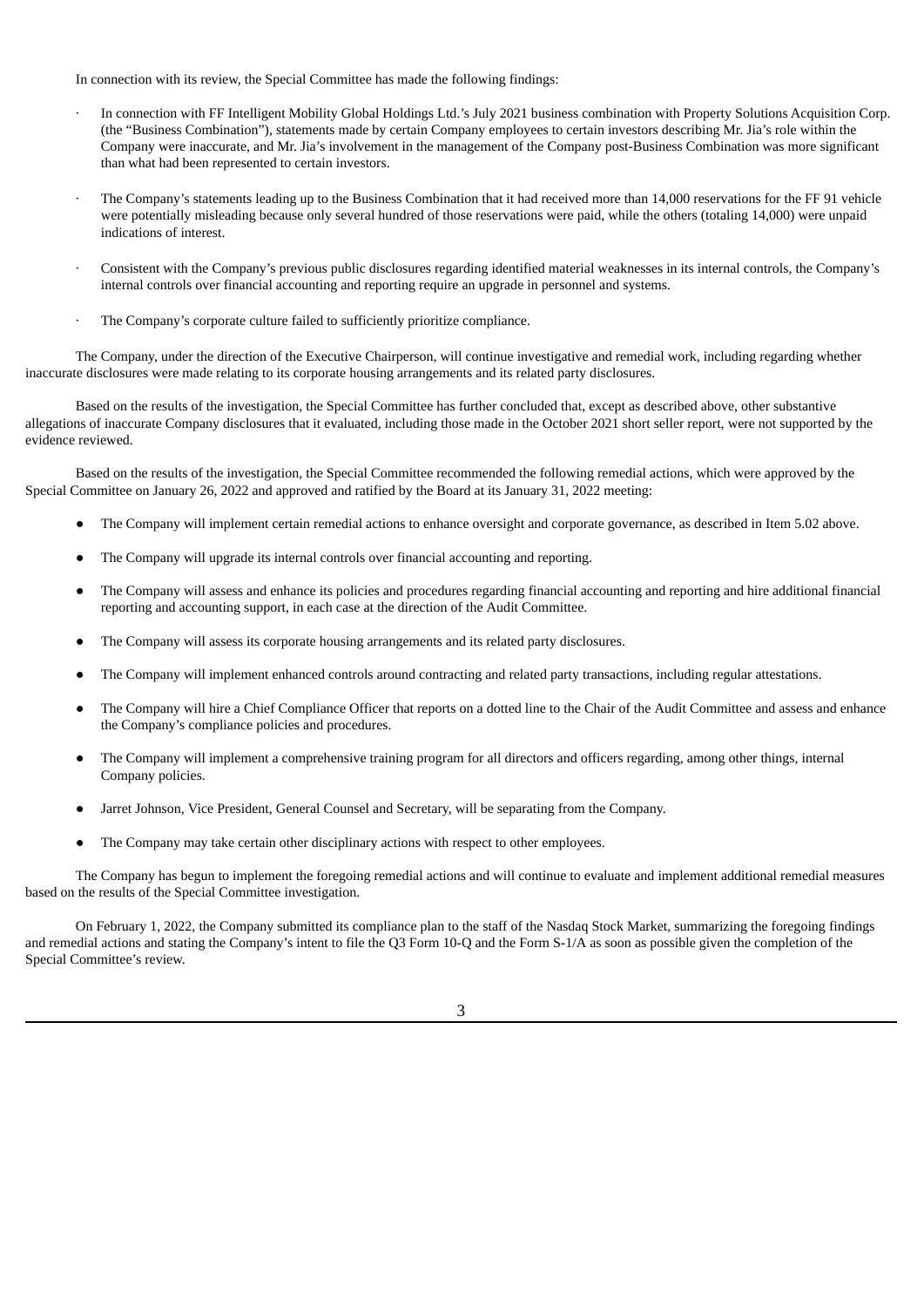In connection with its review, the Special Committee has made the following findings:

- · In connection with FF Intelligent Mobility Global Holdings Ltd.'s July 2021 business combination with Property Solutions Acquisition Corp. (the "Business Combination"), statements made by certain Company employees to certain investors describing Mr. Jia's role within the Company were inaccurate, and Mr. Jia's involvement in the management of the Company post-Business Combination was more significant than what had been represented to certain investors.
- · The Company's statements leading up to the Business Combination that it had received more than 14,000 reservations for the FF 91 vehicle were potentially misleading because only several hundred of those reservations were paid, while the others (totaling 14,000) were unpaid indications of interest.
- · Consistent with the Company's previous public disclosures regarding identified material weaknesses in its internal controls, the Company's internal controls over financial accounting and reporting require an upgrade in personnel and systems.
- The Company's corporate culture failed to sufficiently prioritize compliance.

The Company, under the direction of the Executive Chairperson, will continue investigative and remedial work, including regarding whether inaccurate disclosures were made relating to its corporate housing arrangements and its related party disclosures.

Based on the results of the investigation, the Special Committee has further concluded that, except as described above, other substantive allegations of inaccurate Company disclosures that it evaluated, including those made in the October 2021 short seller report, were not supported by the evidence reviewed.

Based on the results of the investigation, the Special Committee recommended the following remedial actions, which were approved by the Special Committee on January 26, 2022 and approved and ratified by the Board at its January 31, 2022 meeting:

- The Company will implement certain remedial actions to enhance oversight and corporate governance, as described in Item 5.02 above.
- The Company will upgrade its internal controls over financial accounting and reporting.
- The Company will assess and enhance its policies and procedures regarding financial accounting and reporting and hire additional financial reporting and accounting support, in each case at the direction of the Audit Committee.
- The Company will assess its corporate housing arrangements and its related party disclosures.
- The Company will implement enhanced controls around contracting and related party transactions, including regular attestations.
- The Company will hire a Chief Compliance Officer that reports on a dotted line to the Chair of the Audit Committee and assess and enhance the Company's compliance policies and procedures.
- The Company will implement a comprehensive training program for all directors and officers regarding, among other things, internal Company policies.
- Jarret Johnson, Vice President, General Counsel and Secretary, will be separating from the Company.
- The Company may take certain other disciplinary actions with respect to other employees.

The Company has begun to implement the foregoing remedial actions and will continue to evaluate and implement additional remedial measures based on the results of the Special Committee investigation.

On February 1, 2022, the Company submitted its compliance plan to the staff of the Nasdaq Stock Market, summarizing the foregoing findings and remedial actions and stating the Company's intent to file the Q3 Form 10-Q and the Form S-1/A as soon as possible given the completion of the Special Committee's review.

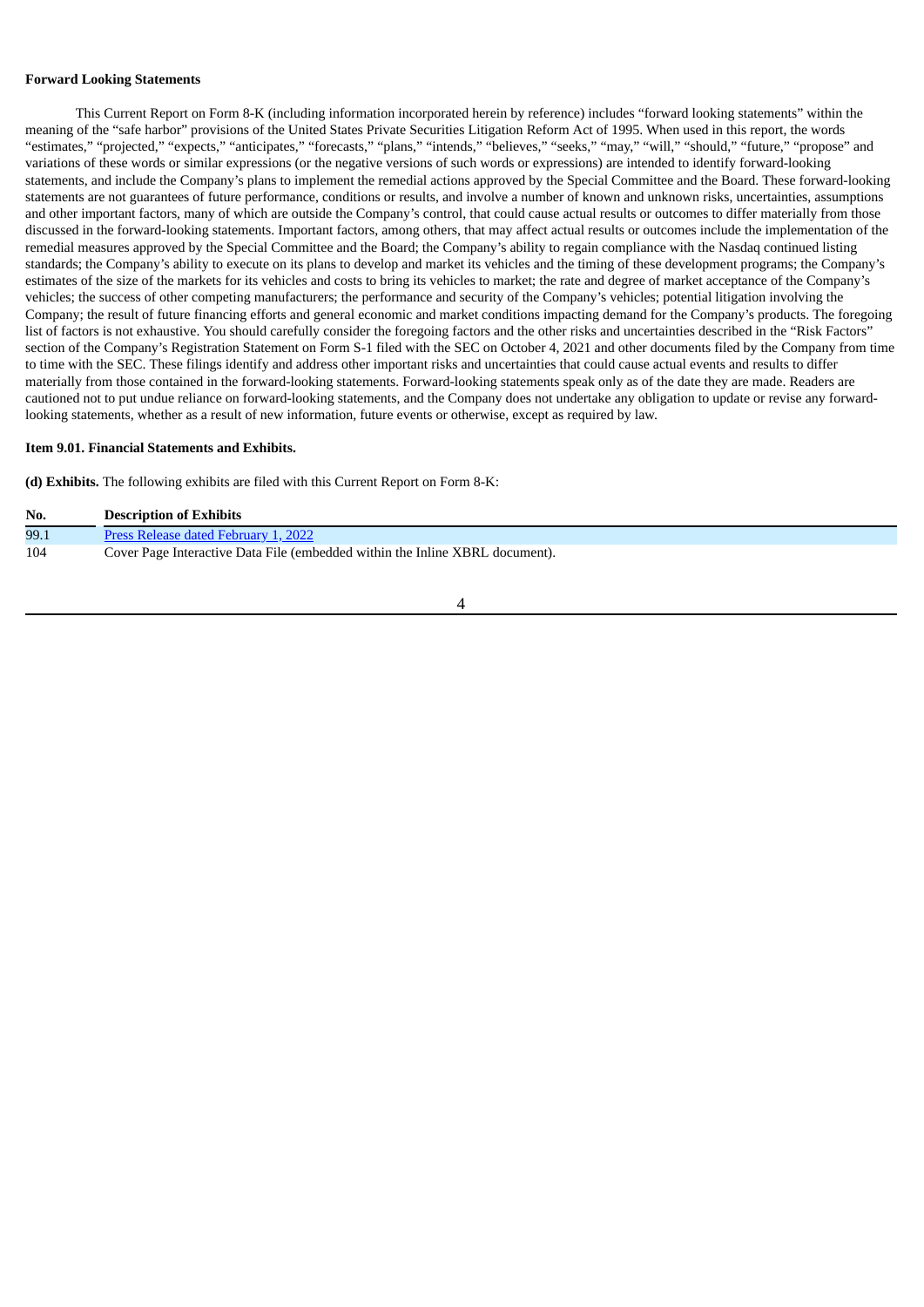#### **Forward Looking Statements**

This Current Report on Form 8-K (including information incorporated herein by reference) includes "forward looking statements" within the meaning of the "safe harbor" provisions of the United States Private Securities Litigation Reform Act of 1995. When used in this report, the words "estimates," "projected," "expects," "anticipates," "forecasts," "plans," "intends," "believes," "seeks," "may," "will," "should," "future," "propose" and variations of these words or similar expressions (or the negative versions of such words or expressions) are intended to identify forward-looking statements, and include the Company's plans to implement the remedial actions approved by the Special Committee and the Board. These forward-looking statements are not guarantees of future performance, conditions or results, and involve a number of known and unknown risks, uncertainties, assumptions and other important factors, many of which are outside the Company's control, that could cause actual results or outcomes to differ materially from those discussed in the forward-looking statements. Important factors, among others, that may affect actual results or outcomes include the implementation of the remedial measures approved by the Special Committee and the Board; the Company's ability to regain compliance with the Nasdaq continued listing standards; the Company's ability to execute on its plans to develop and market its vehicles and the timing of these development programs; the Company's estimates of the size of the markets for its vehicles and costs to bring its vehicles to market; the rate and degree of market acceptance of the Company's vehicles; the success of other competing manufacturers; the performance and security of the Company's vehicles; potential litigation involving the Company; the result of future financing efforts and general economic and market conditions impacting demand for the Company's products. The foregoing list of factors is not exhaustive. You should carefully consider the foregoing factors and the other risks and uncertainties described in the "Risk Factors" section of the Company's Registration Statement on Form S-1 filed with the SEC on October 4, 2021 and other documents filed by the Company from time to time with the SEC. These filings identify and address other important risks and uncertainties that could cause actual events and results to differ materially from those contained in the forward-looking statements. Forward-looking statements speak only as of the date they are made. Readers are cautioned not to put undue reliance on forward-looking statements, and the Company does not undertake any obligation to update or revise any forwardlooking statements, whether as a result of new information, future events or otherwise, except as required by law.

#### **Item 9.01. Financial Statements and Exhibits.**

**(d) Exhibits.** The following exhibits are filed with this Current Report on Form 8-K:

| No.  | <b>Description of Exhibits</b>                                               |
|------|------------------------------------------------------------------------------|
| 99.1 | <b>Press Release dated February 1, 2022</b>                                  |
| 104  | Cover Page Interactive Data File (embedded within the Inline XBRL document). |

## 4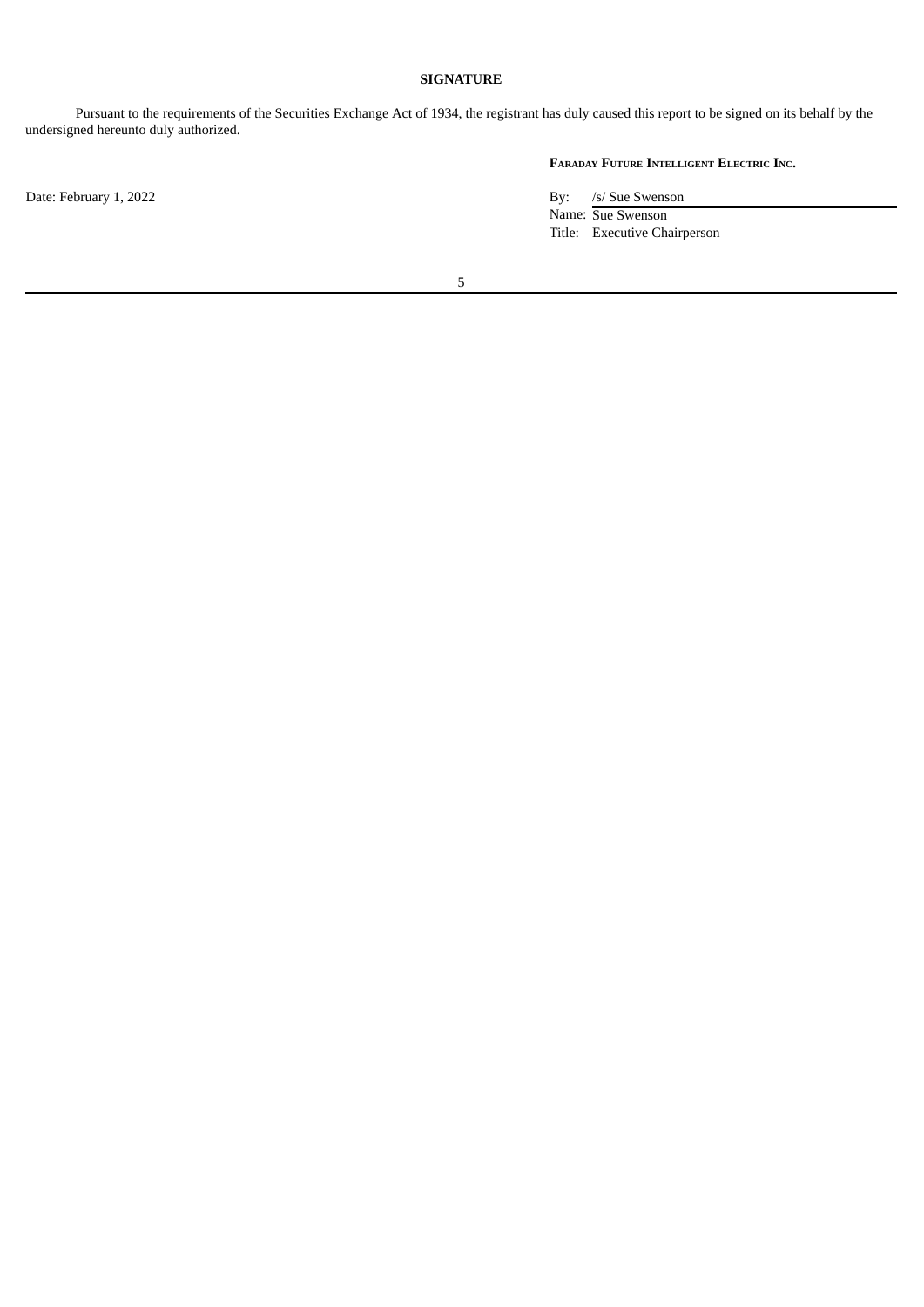# **SIGNATURE**

Pursuant to the requirements of the Securities Exchange Act of 1934, the registrant has duly caused this report to be signed on its behalf by the undersigned hereunto duly authorized.

Date: February 1, 2022 By: /s/ Sue Swenson

**FARADAY FUTURE INTELLIGENT ELECTRIC INC.**

Name: Sue Swenson Title: Executive Chairperson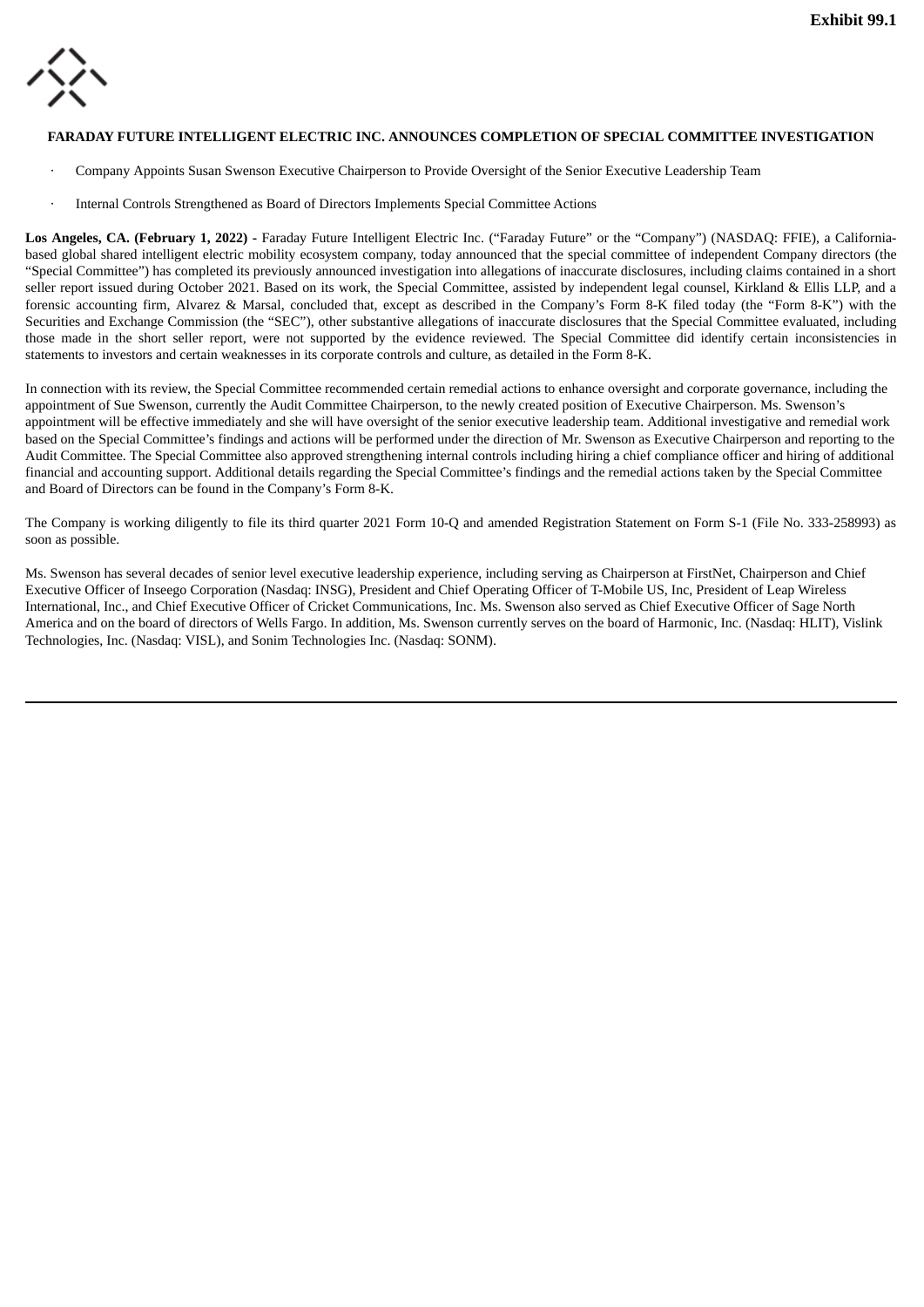<span id="page-6-0"></span>

# **FARADAY FUTURE INTELLIGENT ELECTRIC INC. ANNOUNCES COMPLETION OF SPECIAL COMMITTEE INVESTIGATION**

- · Company Appoints Susan Swenson Executive Chairperson to Provide Oversight of the Senior Executive Leadership Team
- · Internal Controls Strengthened as Board of Directors Implements Special Committee Actions

**Los Angeles, CA. (February 1, 2022) -** Faraday Future Intelligent Electric Inc. ("Faraday Future" or the "Company") (NASDAQ: FFIE), a Californiabased global shared intelligent electric mobility ecosystem company, today announced that the special committee of independent Company directors (the "Special Committee") has completed its previously announced investigation into allegations of inaccurate disclosures, including claims contained in a short seller report issued during October 2021. Based on its work, the Special Committee, assisted by independent legal counsel, Kirkland & Ellis LLP, and a forensic accounting firm, Alvarez & Marsal, concluded that, except as described in the Company's Form 8-K filed today (the "Form 8-K") with the Securities and Exchange Commission (the "SEC"), other substantive allegations of inaccurate disclosures that the Special Committee evaluated, including those made in the short seller report, were not supported by the evidence reviewed. The Special Committee did identify certain inconsistencies in statements to investors and certain weaknesses in its corporate controls and culture, as detailed in the Form 8-K.

In connection with its review, the Special Committee recommended certain remedial actions to enhance oversight and corporate governance, including the appointment of Sue Swenson, currently the Audit Committee Chairperson, to the newly created position of Executive Chairperson. Ms. Swenson's appointment will be effective immediately and she will have oversight of the senior executive leadership team. Additional investigative and remedial work based on the Special Committee's findings and actions will be performed under the direction of Mr. Swenson as Executive Chairperson and reporting to the Audit Committee. The Special Committee also approved strengthening internal controls including hiring a chief compliance officer and hiring of additional financial and accounting support. Additional details regarding the Special Committee's findings and the remedial actions taken by the Special Committee and Board of Directors can be found in the Company's Form 8-K.

The Company is working diligently to file its third quarter 2021 Form 10-Q and amended Registration Statement on Form S-1 (File No. 333-258993) as soon as possible.

Ms. Swenson has several decades of senior level executive leadership experience, including serving as Chairperson at FirstNet, Chairperson and Chief Executive Officer of Inseego Corporation (Nasdaq: INSG), President and Chief Operating Officer of T-Mobile US, Inc, President of Leap Wireless International, Inc., and Chief Executive Officer of Cricket Communications, Inc. Ms. Swenson also served as Chief Executive Officer of Sage North America and on the board of directors of Wells Fargo. In addition, Ms. Swenson currently serves on the board of Harmonic, Inc. (Nasdaq: HLIT), Vislink Technologies, Inc. (Nasdaq: VISL), and Sonim Technologies Inc. (Nasdaq: SONM).